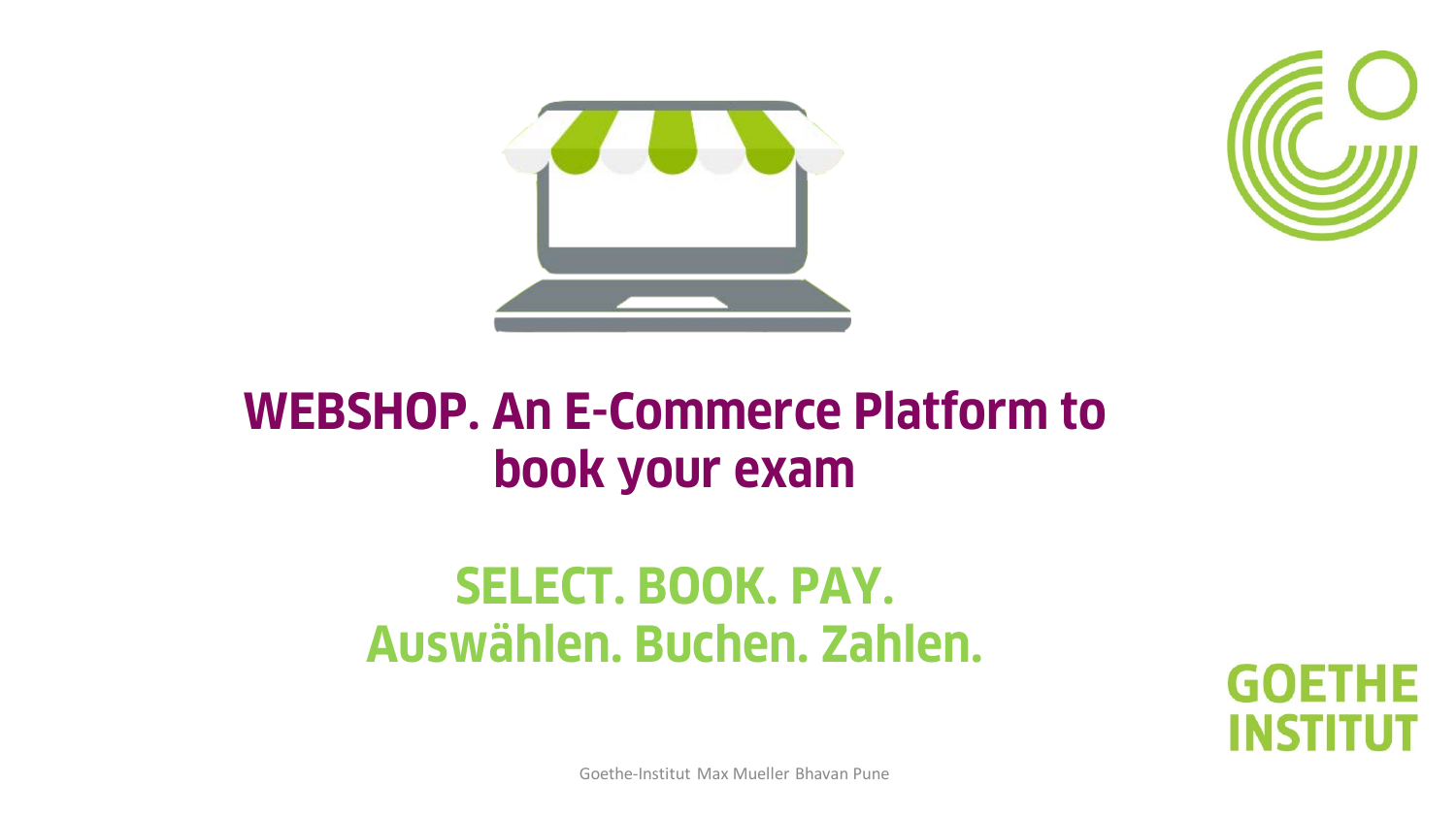



## **WEBSHOP. An E-Commerce Platform to book your exam**

# **SELECT. BOOK. PAY. Auswählen. Buchen. Zahlen.**

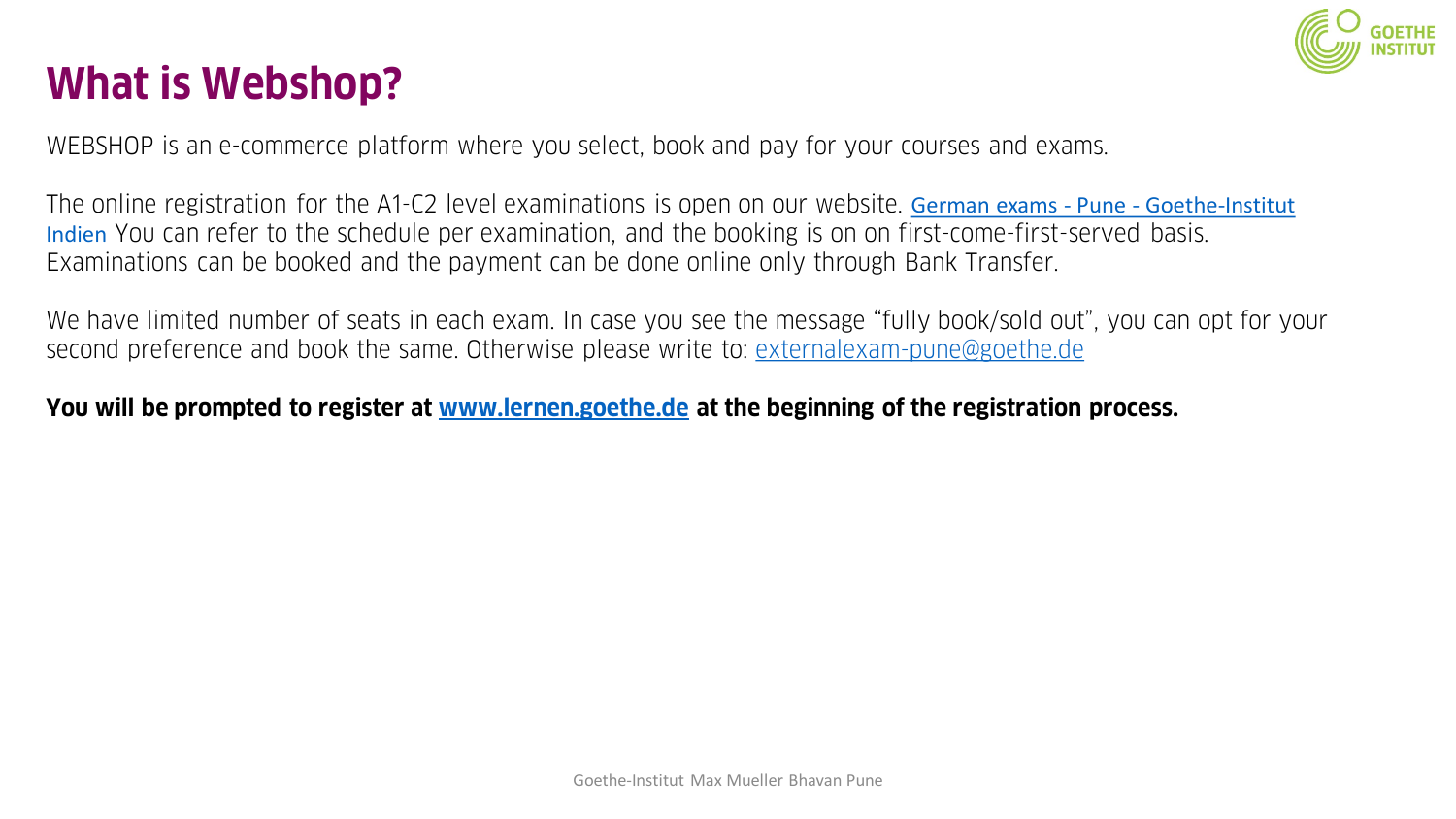

## **What is Webshop?**

WEBSHOP is an e-commerce platform where you select, book and pay for your courses and exams.

The online registration for the A1-C2 level examinations is open on our website. German exams - Pune - Goethe-Institut Indien [You can refer to the schedule per examination, and the booking is on on first-come-first-served basis.](https://www.goethe.de/ins/in/en/sta/pun/prf.html)  Examinations can be booked and the payment can be done online only through Bank Transfer.

We have limited number of seats in each exam. In case you see the message "fully book/sold out", you can opt for your second preference and book the same. Otherwise please write to: [externalexam-pune@goethe.de](mailto:externalexam-pune@goethe.de)

### **You will be prompted to register at [www.lernen.goethe.de](http://www.lernen.goethe.de/) at the beginning of the registration process.**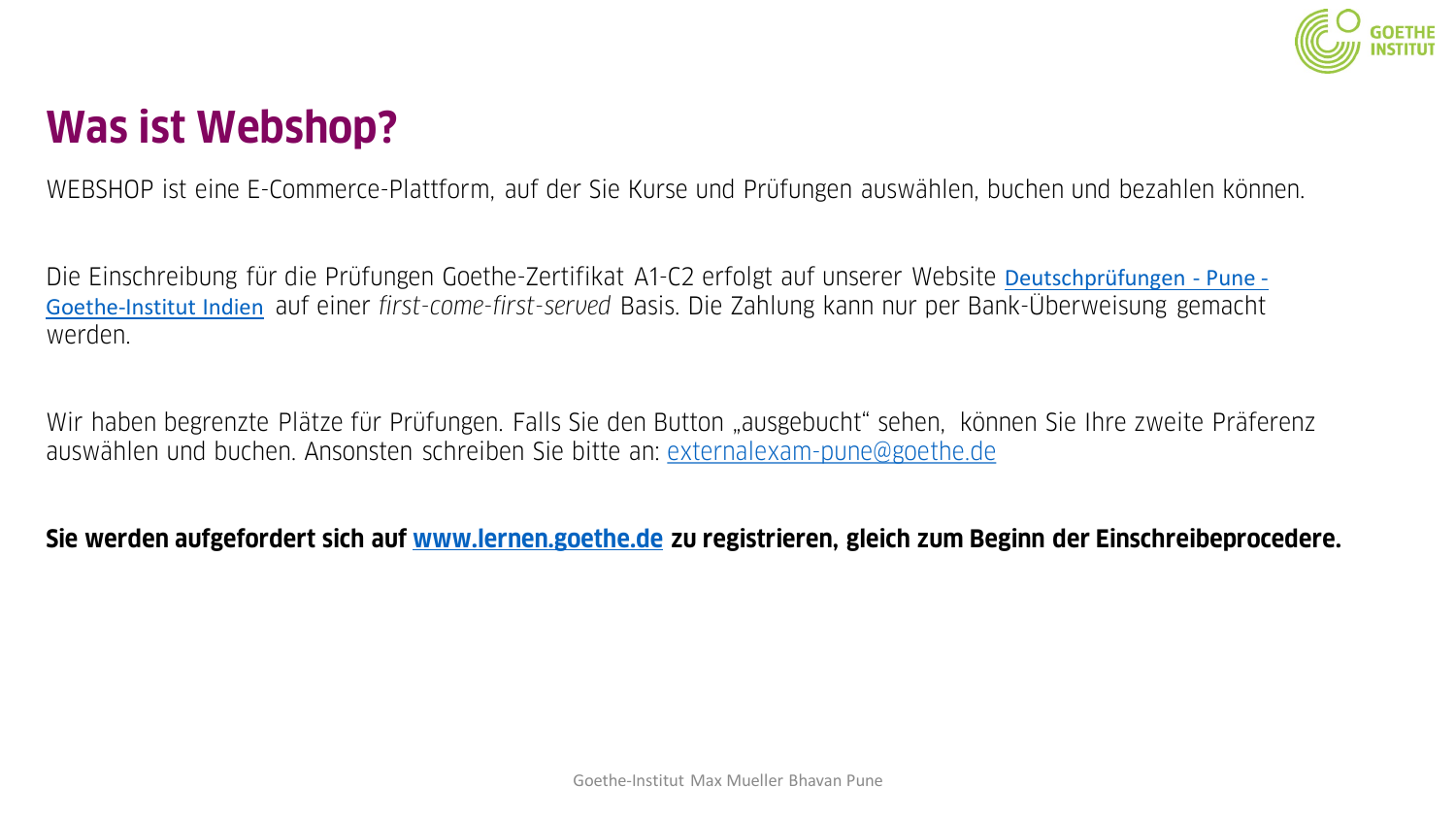

## **Was ist Webshop?**

WEBSHOP ist eine E-Commerce-Plattform, auf der Sie Kurse und Prüfungen auswählen, buchen und bezahlen können.

[Die Einschreibung für die Prüfungen Goethe-Zertifikat A1-C2 erfolgt auf unserer Website](https://www.goethe.de/ins/in/de/sta/pun/prf.html) Deutschprüfungen - Pune - Goethe-Institut Indien auf einer *first-come-first-served* Basis. Die Zahlung kann nur per Bank-Überweisung gemacht werden.

Wir haben begrenzte Plätze für Prüfungen. Falls Sie den Button "ausgebucht" sehen, können Sie Ihre zweite Präferenz auswählen und buchen. Ansonsten schreiben Sie bitte an: [externalexam-pune@goethe.de](mailto:externalexam-pune@goethe.de)

**Sie werden aufgefordert sich auf [www.lernen.goethe.de](http://www.lernen.goethe.de/) zu registrieren, gleich zum Beginn der Einschreibeprocedere.**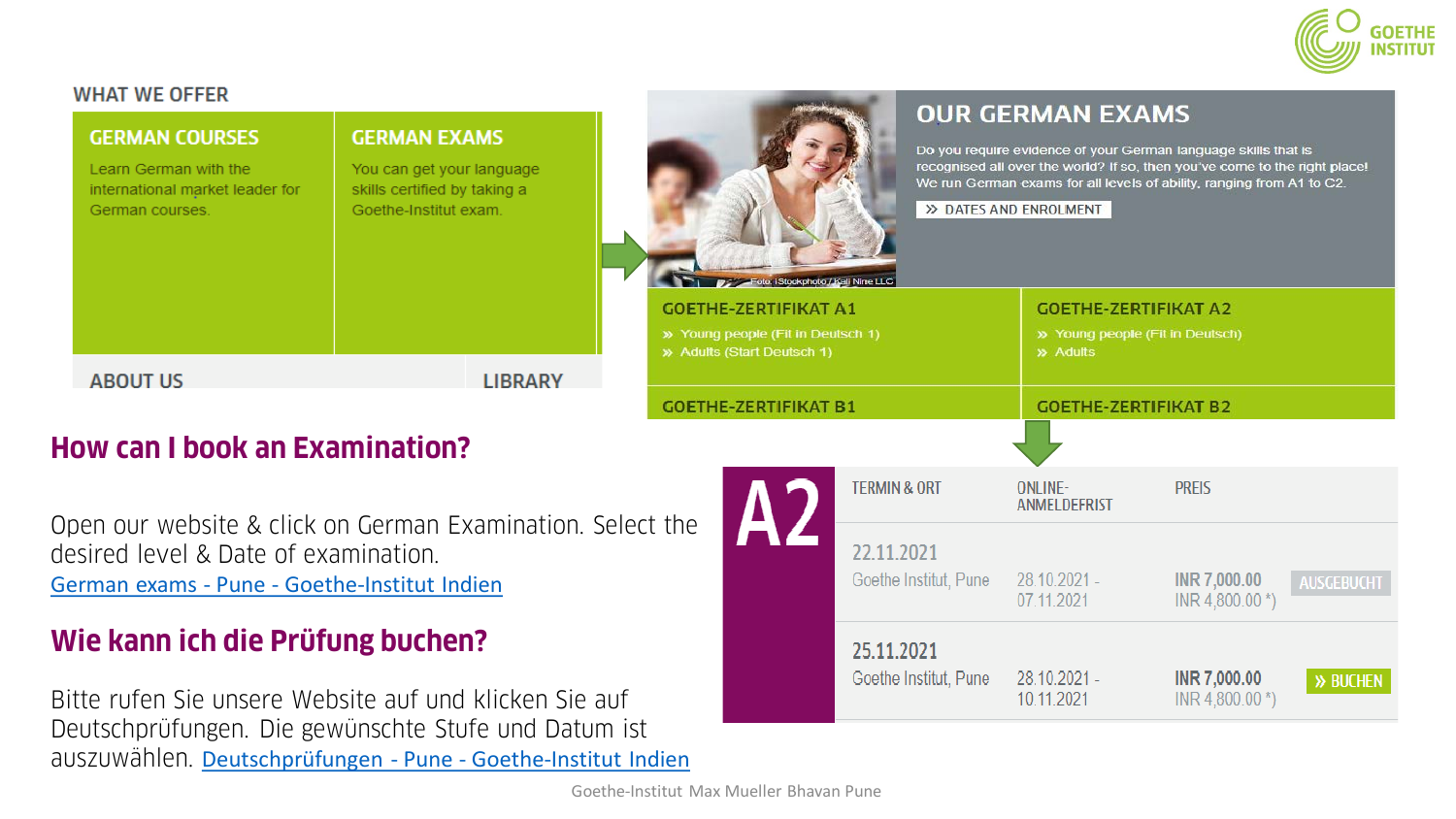

INR 4,800.00 \*)

INR 7,000.00

INR 4,800.00 \*)

>> BUCHEN

07.11.2021

28.10.2021 -

10.11.2021

25.11.2021

Goethe Institut, Pune

#### **WHAT WE OFFER**

| <b>GERMAN COURSES</b><br>Learn German with the<br>international market leader for<br>German courses. |                                                                                                    | <b>GERMAN EXAMS</b><br>You can get your language<br>skills certified by taking a<br>Goethe-Institut exam. |                | Foto: iStockphoto / Kali Nine LLC |  |                                                                                                 | <b>OUR GERMAN EXAMS</b><br>Do you require evidence of your German language skills that is<br>recognised all over the world? If so, then you've come to the right place!<br>We run German exams for all levels of ability, ranging from A1 to C2.<br>>> DATES AND ENROLMENT |                            |  |                                                                |                   |
|------------------------------------------------------------------------------------------------------|----------------------------------------------------------------------------------------------------|-----------------------------------------------------------------------------------------------------------|----------------|-----------------------------------|--|-------------------------------------------------------------------------------------------------|----------------------------------------------------------------------------------------------------------------------------------------------------------------------------------------------------------------------------------------------------------------------------|----------------------------|--|----------------------------------------------------------------|-------------------|
|                                                                                                      |                                                                                                    |                                                                                                           |                |                                   |  | <b>GOETHE-ZERTIFIKAT A1</b><br>>> Young people (Fit in Deutsch 1)<br>» Adults (Start Deutsch 1) |                                                                                                                                                                                                                                                                            | » Adults                   |  | <b>GOETHE-ZERTIFIKAT A2</b><br>» Young people (Fit in Deutsch) |                   |
|                                                                                                      | <b>ABOUT US</b>                                                                                    |                                                                                                           | <b>LIBRARY</b> |                                   |  | <b>GOETHE-ZERTIFIKAT B1</b>                                                                     |                                                                                                                                                                                                                                                                            |                            |  | <b>GOETHE-ZERTIFIKAT B2</b>                                    |                   |
|                                                                                                      | <b>How can I book an Examination?</b>                                                              |                                                                                                           |                |                                   |  |                                                                                                 |                                                                                                                                                                                                                                                                            |                            |  |                                                                |                   |
|                                                                                                      |                                                                                                    |                                                                                                           |                |                                   |  |                                                                                                 | <b>TERMIN &amp; ORT</b>                                                                                                                                                                                                                                                    | ONLINE-<br>ANMELDEFRIST    |  | <b>PREIS</b>                                                   |                   |
|                                                                                                      | Open our website & click on German Examination. Select the<br>desired level & Date of examination. |                                                                                                           |                |                                   |  |                                                                                                 | 22.11.2021                                                                                                                                                                                                                                                                 |                            |  |                                                                |                   |
|                                                                                                      | German exams - Pune - Goethe-Institut Indien                                                       |                                                                                                           |                |                                   |  |                                                                                                 | Goethe Institut, Pune                                                                                                                                                                                                                                                      | 28.10.2021 -<br>07 11 2021 |  | INR 7,000.00<br>INID A OAD OA X                                | <b>AUSGEBUCHT</b> |

### **Wie kann ich die Prüfung buchen?**

Bitte rufen Sie unsere Website auf und klicken Sie auf Deutschprüfungen. Die gewünschte Stufe und Datum ist auszuwählen. Deutschprüfungen - Pune - [Goethe-Institut Indien](https://www.goethe.de/ins/in/de/sta/pun/prf.html)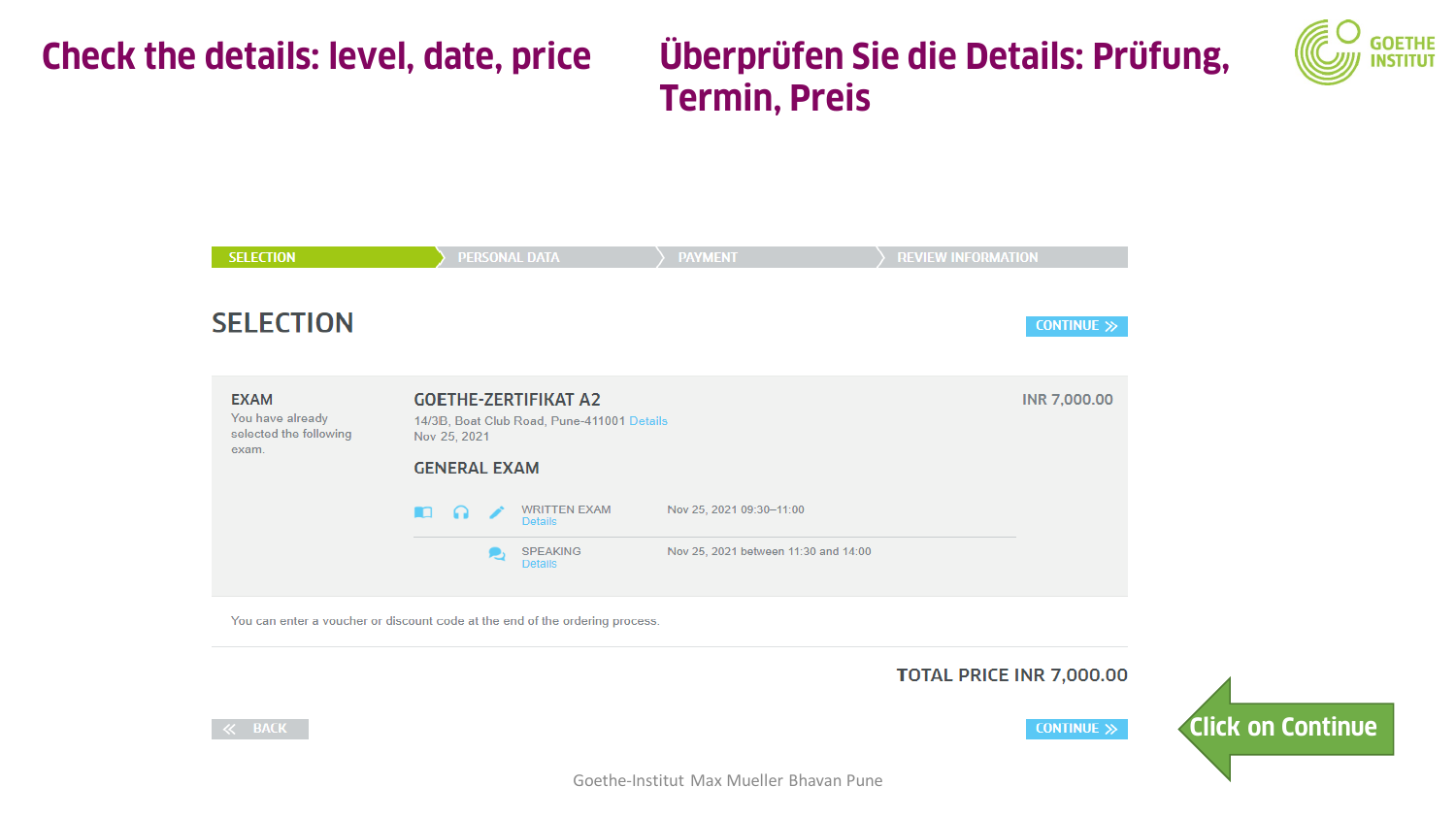## **Check the details: level, date, price**

### **Überprüfen Sie die Details: Prüfung, Termin, Preis**





You can enter a voucher or discount code at the end of the ordering process.

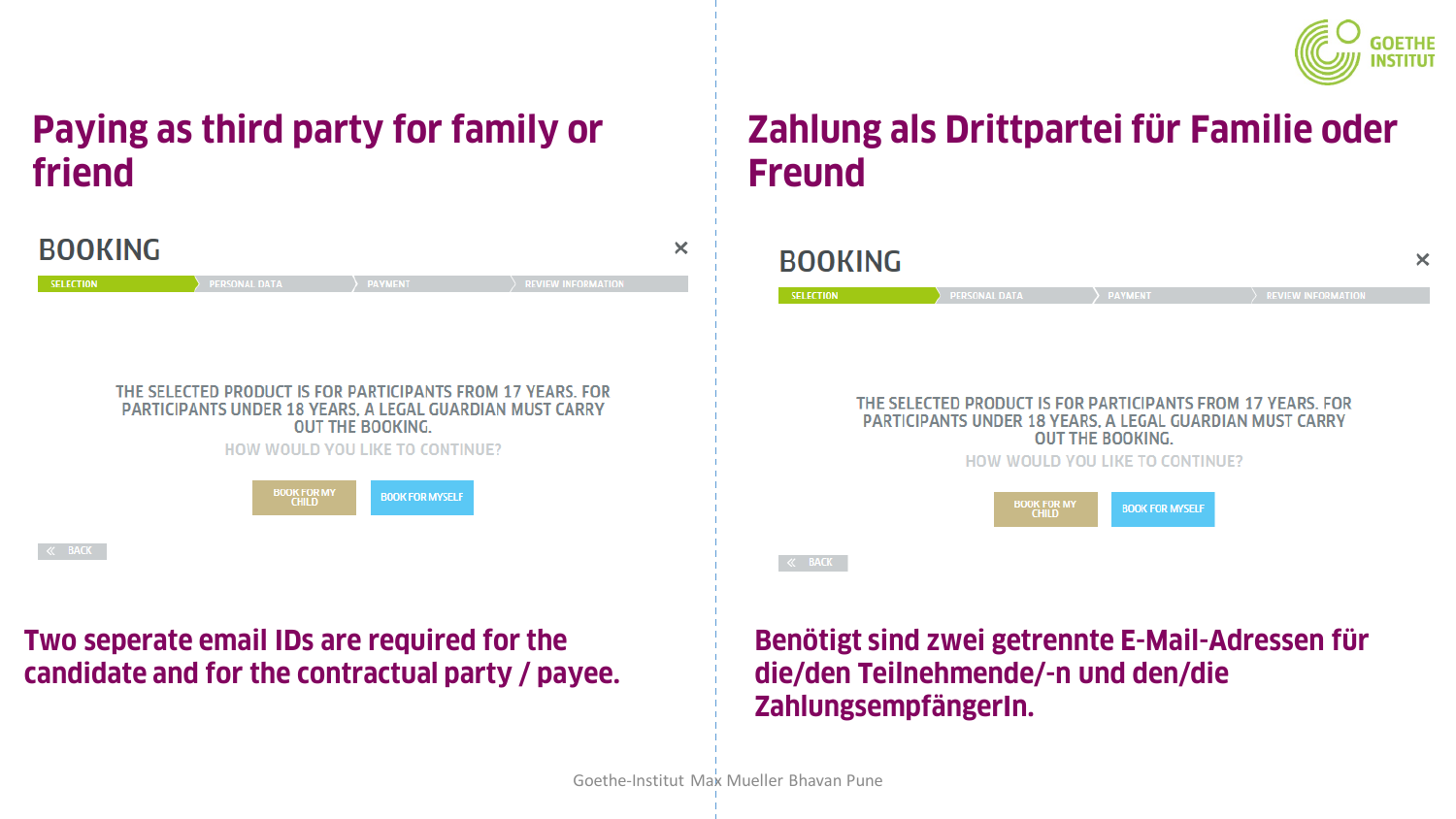

### **Paying as third party for family or friend**



### **Two seperate email IDs are required for the candidate and for the contractual party / payee.**

### **Zahlung als Drittpartei für Familie oder Freund**

| <b>BOOKING</b>   |                                    |                                                                                                                                                    | )                         |
|------------------|------------------------------------|----------------------------------------------------------------------------------------------------------------------------------------------------|---------------------------|
| <b>SELECTION</b> | <b>PERSONAL DATA</b>               | <b>PAYMENT</b>                                                                                                                                     | <b>REVIEW INFORMATION</b> |
|                  |                                    | THE SELECTED PRODUCT IS FOR PARTICIPANTS FROM 17 YEARS. FOR<br>PARTICIPANTS UNDER 18 YEARS, A LEGAL GUARDIAN MUST CARRY<br><b>OUT THE BOOKING.</b> |                           |
|                  |                                    | HOW WOULD YOU LIKE TO CONTINUE?                                                                                                                    |                           |
|                  | <b>BOOK FOR MY</b><br><b>CHILD</b> | <b>BOOK FOR MYSELF</b>                                                                                                                             |                           |
| $\ll$ BACK       |                                    |                                                                                                                                                    |                           |

**Benötigt sind zwei getrennte E-Mail-Adressen für die/den Teilnehmende/-n und den/die ZahlungsempfängerIn.**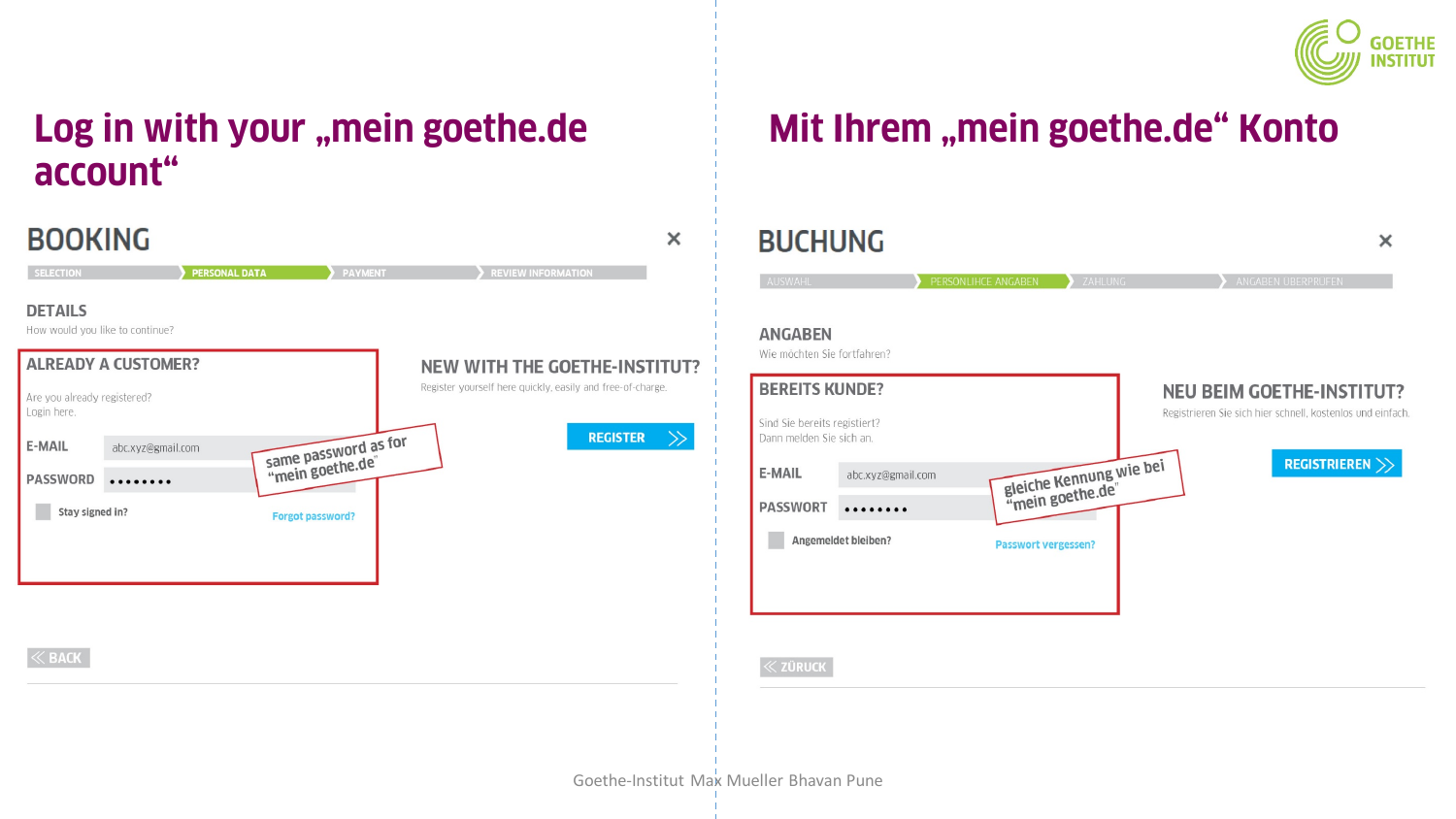

### **Log in with your "mein goethe.de Mit Ihrem "mein goethe.de" Konto account"**

| <b>BOOKING</b>                                                                  |                                                            | <b>BUCHUNG</b><br>×                                               |
|---------------------------------------------------------------------------------|------------------------------------------------------------|-------------------------------------------------------------------|
| <b>PERSONAL DATA</b><br><b>SELECTION</b>                                        | PAYMENT<br><b>REVIEW INFORMATION</b>                       | AUSWAHL                                                           |
| <b>DETAILS</b><br>How would you like to continue?<br><b>ALREADY A CUSTOMER?</b> | <b>NEW WITH THE GOETHE-INSTITUT?</b>                       | <b>ANGABEN</b><br>Wie möchten Sie fortfahrer                      |
| Are you already registered?                                                     | Register yourself here quickly, easily and free-of-charge. | <b>BEREITS KUNDE?</b>                                             |
| Login here.                                                                     | <b>REGISTER</b>                                            | Sind Sie bereits registiert?<br>Dann melden Sie sich an.<br>$\gg$ |
| same password as for<br>E-MAIL<br>abc.xyz@gmail.com                             |                                                            | <b>E-MAIL</b>                                                     |
| <b>PASSWORD</b><br>                                                             |                                                            | abc.xyz                                                           |
| Stay signed in?<br><b>Forgot password?</b>                                      |                                                            | <b>PASSWORT</b>                                                   |
|                                                                                 |                                                            | Angemeldet bleiber                                                |
|                                                                                 |                                                            |                                                                   |
|                                                                                 |                                                            |                                                                   |
|                                                                                 |                                                            |                                                                   |
| $\ll$ BACK                                                                      |                                                            | $\ll$ züruck                                                      |
|                                                                                 |                                                            |                                                                   |
|                                                                                 |                                                            |                                                                   |
|                                                                                 |                                                            |                                                                   |
|                                                                                 |                                                            |                                                                   |
|                                                                                 |                                                            | Goethe-Institut Max Mueller Bhavan Pune                           |

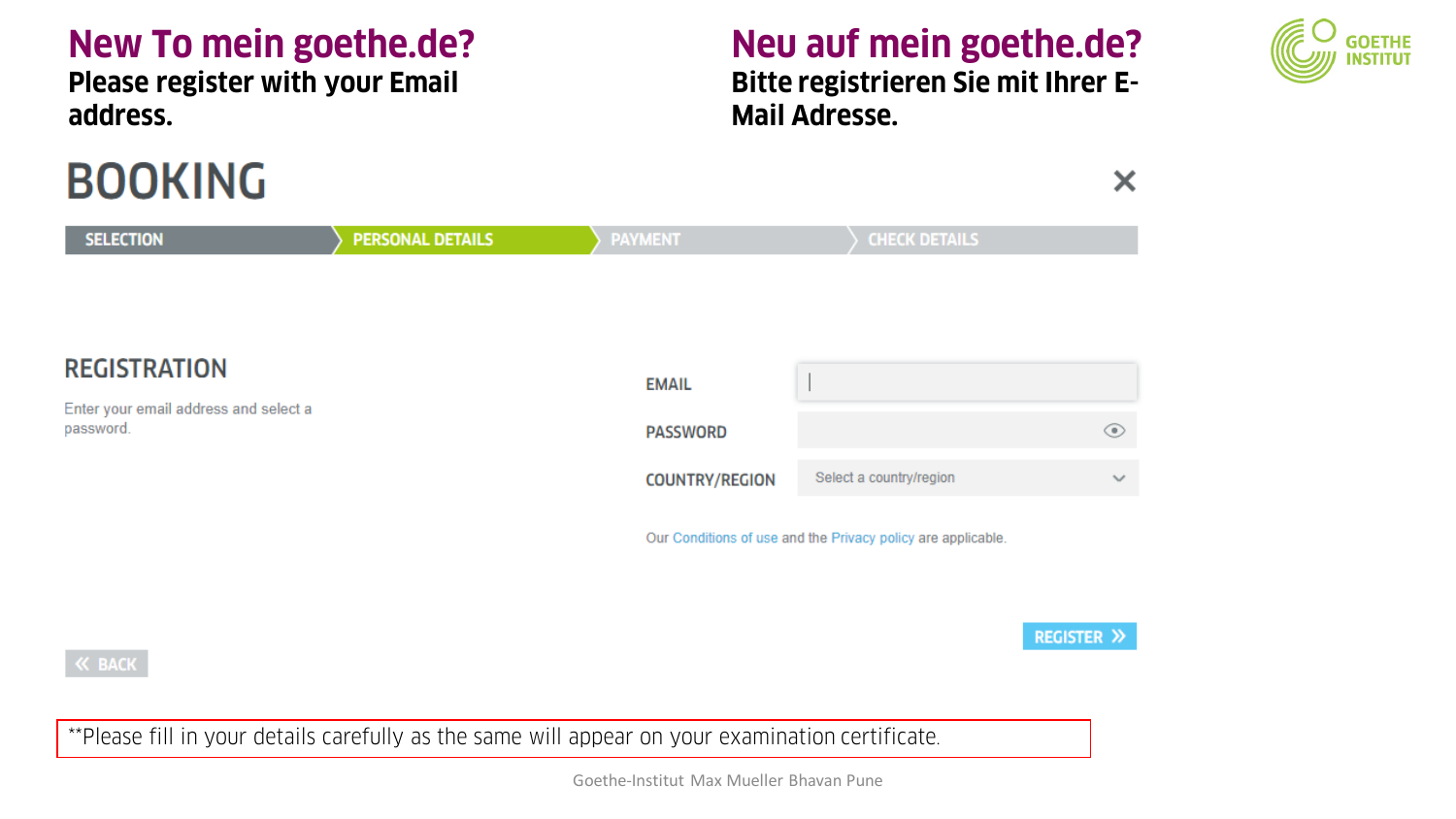### **New To mein goethe.de?**

**Please register with your Email address.**

# **BOOKING**

**K BACK** 

## **Neu auf mein goethe.de?**

**Bitte registrieren Sie mit Ihrer E-Mail Adresse.** 



**PERSONAL DETAILS CHECK DETAILS SELECTION PAYMENT REGISTRATION EMAIL** Enter your email address and select a password. ⊙ **PASSWORD** Select a country/region **COUNTRY/REGION**  $\checkmark$ Our Conditions of use and the Privacy policy are applicable.

**REGISTER >>** 

X

\*\*Please fill in your details carefully as the same will appear on your examination certificate.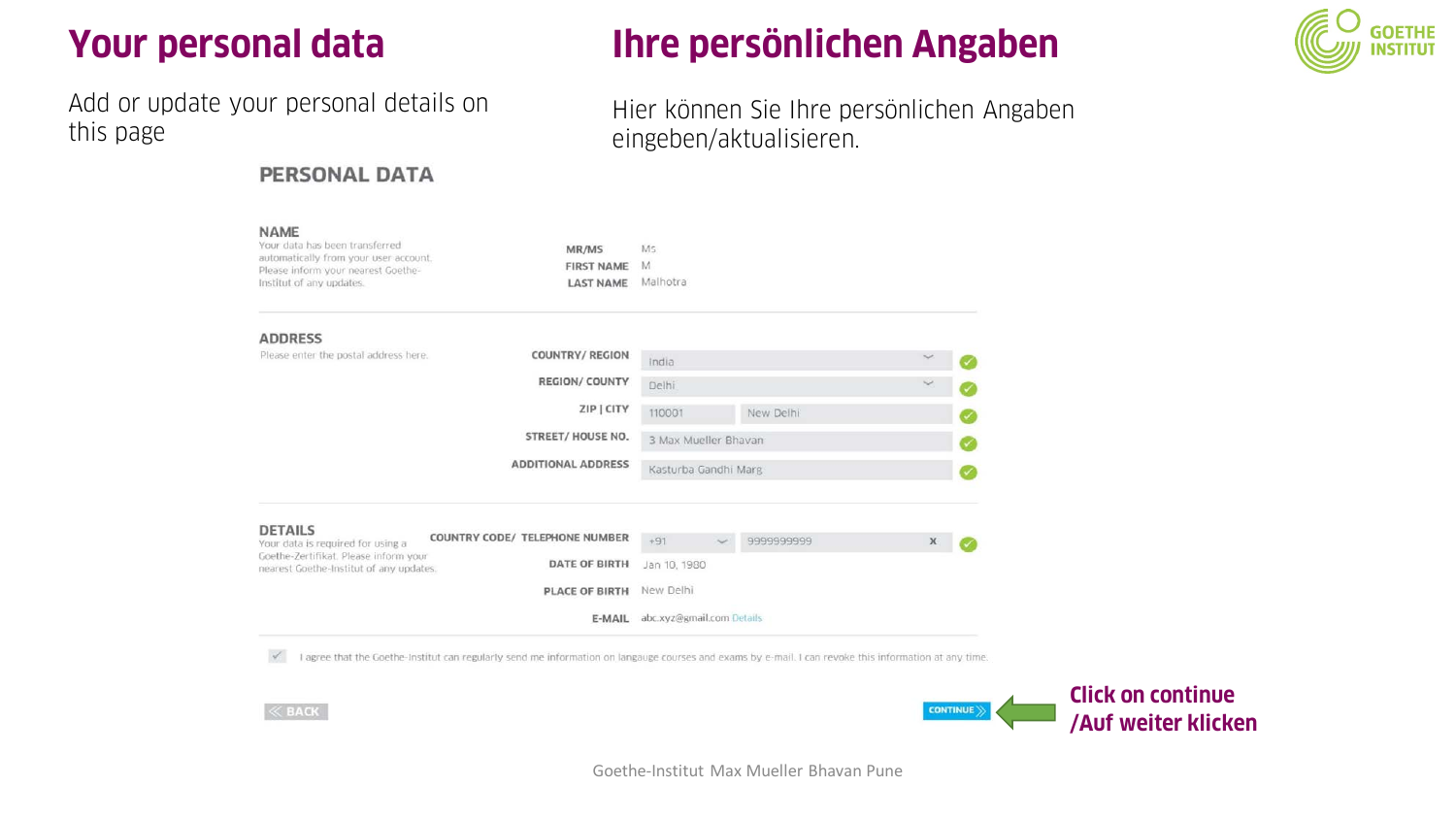### **Your personal data**

Add or update your personal details on this page

**KLAKAP** 

### **PERSONAL DATA**

### **Ihre persönlichen Angaben**



Hier können Sie Ihre persönlichen Angaben eingeben/aktualisieren.

| NAME<br>Your data has been transferred<br>automatically from your user account.<br>Please inform your nearest Goethe-<br>Institut of any updates. | MR/MS<br><b>FIRST NAME</b><br><b>LAST NAME</b> | Ms<br>M<br>Malhotra       |            |             |  |
|---------------------------------------------------------------------------------------------------------------------------------------------------|------------------------------------------------|---------------------------|------------|-------------|--|
| <b>ADDRESS</b>                                                                                                                                    |                                                |                           |            |             |  |
| Please enter the postal address here.                                                                                                             | COUNTRY/REGION                                 | India                     |            |             |  |
|                                                                                                                                                   | <b>REGION/ COUNTY</b>                          | Delhi                     |            |             |  |
|                                                                                                                                                   | ZIP   CITY                                     | 110001                    | New Delhi  |             |  |
|                                                                                                                                                   | <b>STREET/ HOUSE NO.</b>                       | 3 Max Mueller Bhavan      |            |             |  |
|                                                                                                                                                   | <b>ADDITIONAL ADDRESS</b>                      | Kasturba Gandhi Marg      |            |             |  |
| <b>DETAILS</b>                                                                                                                                    | COUNTRY CODE/ TELEPHONE NUMBER                 |                           |            |             |  |
| Your data is required for using a<br>Goethe-Zertifikat. Please inform your                                                                        |                                                | $+91$<br>$\sim$           | 9999999999 | $\mathsf X$ |  |
| nearest Goethe-Institut of any updates.                                                                                                           | <b>DATE OF BIRTH</b>                           | Jan 10, 1980              |            |             |  |
|                                                                                                                                                   | PLACE OF BIRTH                                 | New Delhi                 |            |             |  |
|                                                                                                                                                   | E-MAIL                                         | abc.xyz@gmail.com Details |            |             |  |

V I agree that the Goethe-Institut can regularly send me information on langauge courses and exams by e-mail. I can revoke this information at any time.



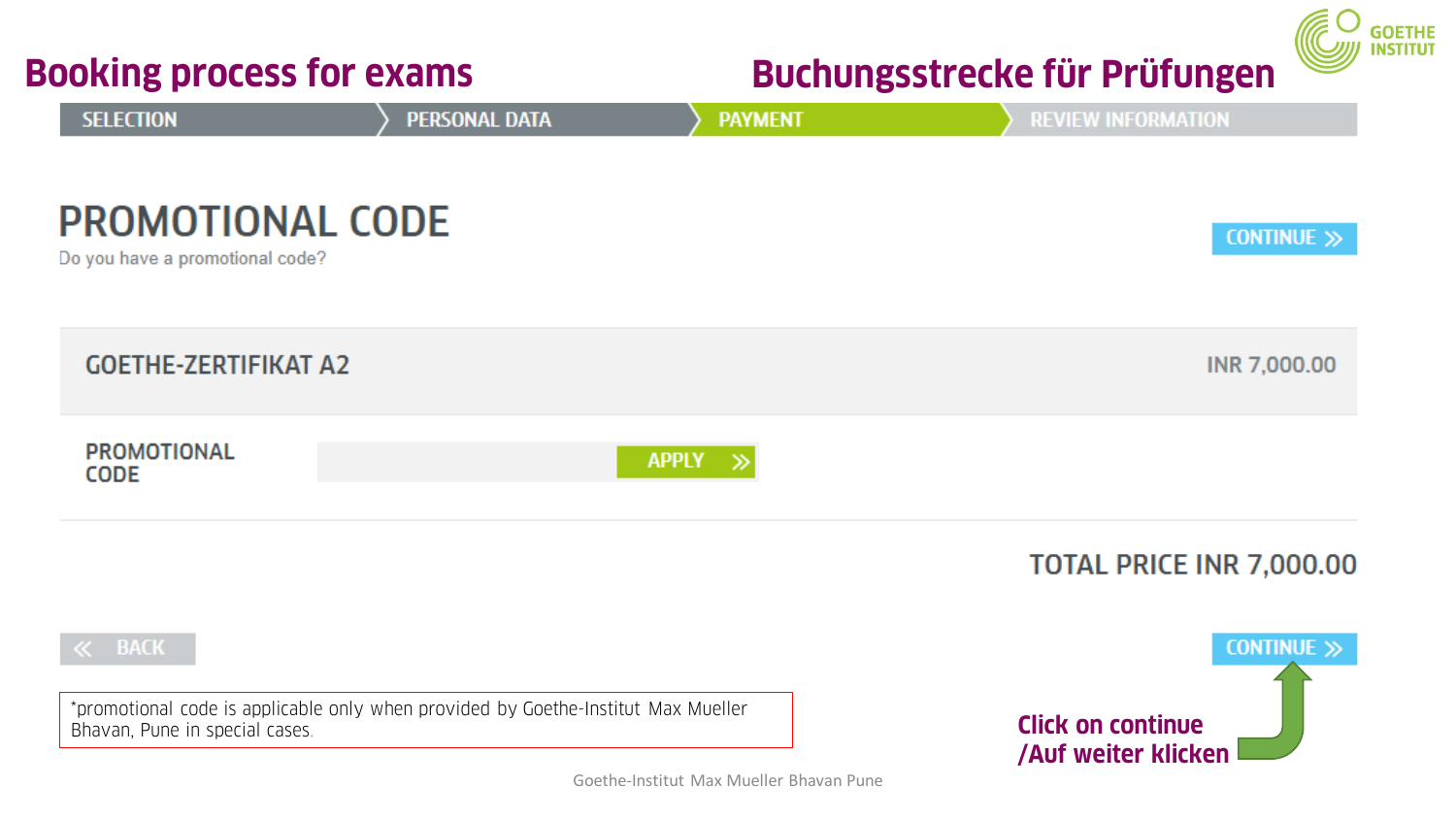| <b>Booking process for exams</b>                           |                                                                                   |                | <b>THE READ THIS</b><br>Buchungsstrecke für Prüfungen  |  |  |
|------------------------------------------------------------|-----------------------------------------------------------------------------------|----------------|--------------------------------------------------------|--|--|
| <b>SELECTION</b>                                           | PERSONAL DATA                                                                     | <b>PAYMENT</b> | <b>REVIEW INFORMATION</b>                              |  |  |
| <b>PROMOTIONAL CODE</b><br>Do you have a promotional code? |                                                                                   |                | CONTINUE >>                                            |  |  |
| <b>GOETHE-ZERTIFIKAT A2</b>                                |                                                                                   |                | INR 7,000.00                                           |  |  |
| <b>PROMOTIONAL</b><br><b>CODE</b>                          |                                                                                   | <b>APPLY</b>   |                                                        |  |  |
|                                                            |                                                                                   |                | TOTAL PRICE INR 7,000.00                               |  |  |
| $\ll$ BACK                                                 |                                                                                   |                | CONTINUE >>                                            |  |  |
| Bhavan, Pune in special cases.                             | *promotional code is applicable only when provided by Goethe-Institut Max Mueller |                | <b>Click on continue</b><br><b>/Auf weiter klicken</b> |  |  |

 $\subset$   $\subset$ 

ETHE<br>IITUT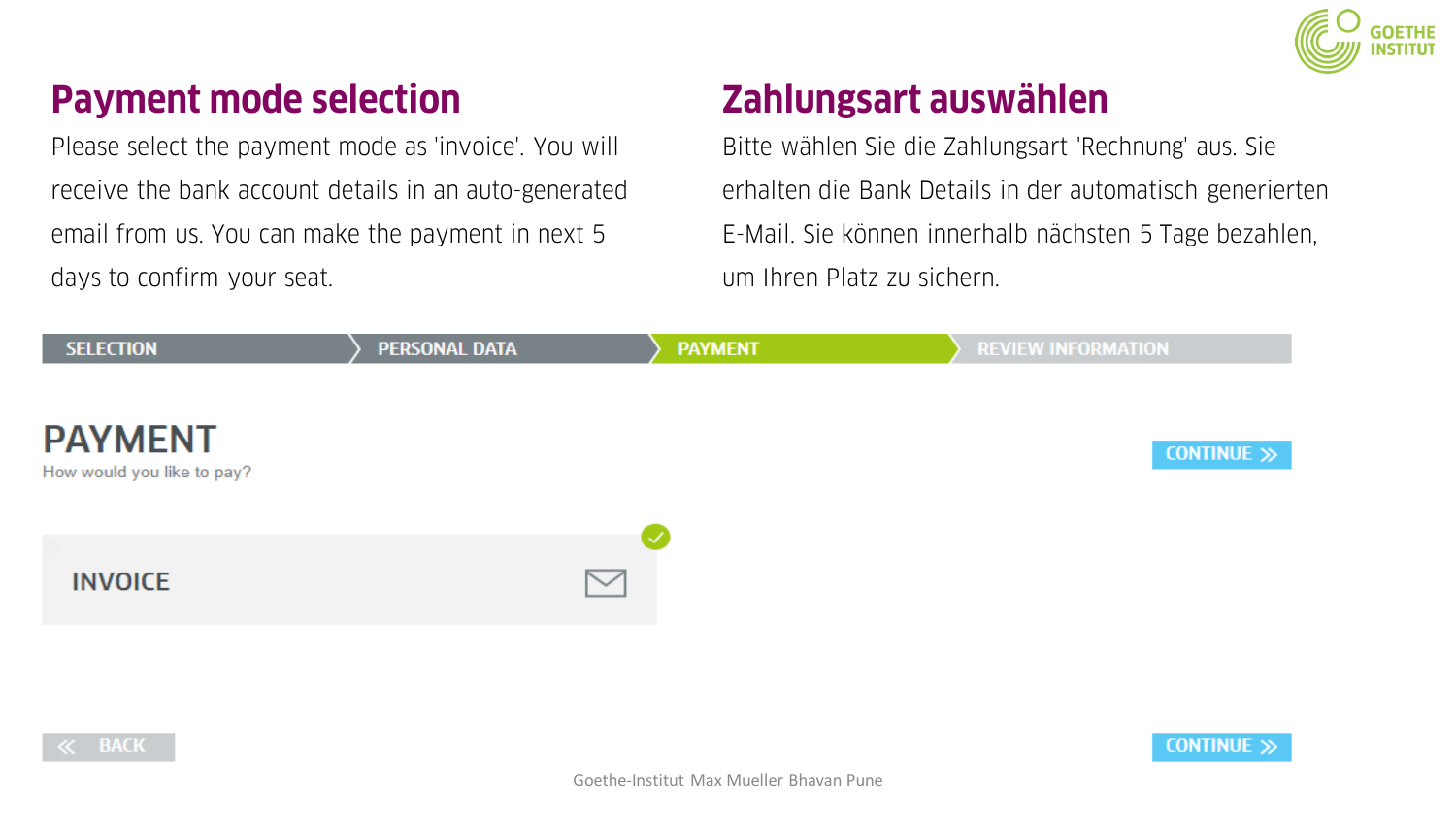

### **Payment mode selection**

Please select the payment mode as 'invoice'. You will receive the bank account details in an auto-generated email from us. You can make the payment in next 5 days to confirm your seat.

### **Zahlungsart auswählen**

Bitte wählen Sie die Zahlungsart 'Rechnung' aus. Sie erhalten die Bank Details in der automatisch generierten E-Mail. Sie können innerhalb nächsten 5 Tage bezahlen, um Ihren Platz zu sichern.



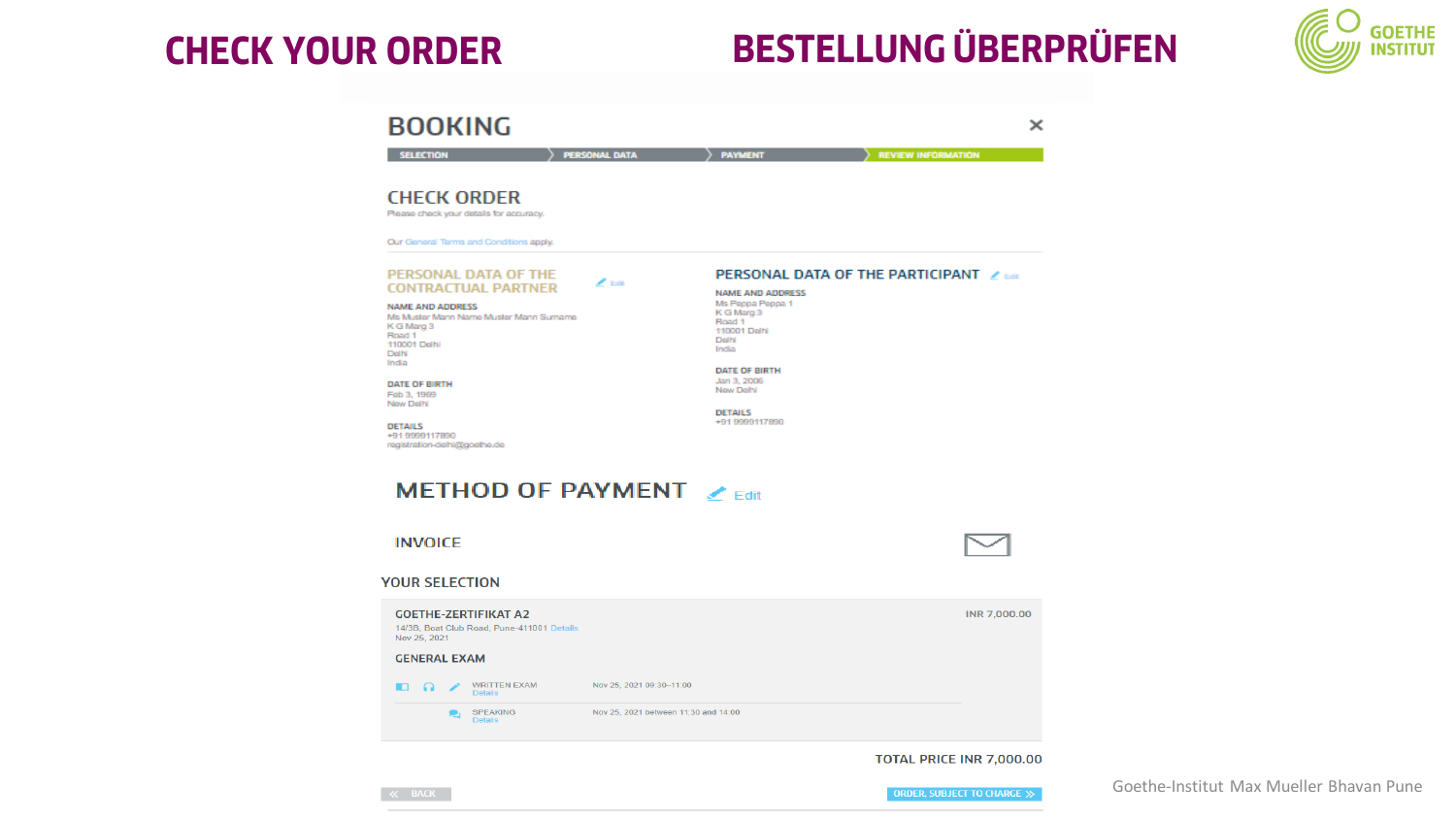## **CHECK YOUR ORDER BESTELLUNG ÜBERPRÜFEN**



| <b>BOOKING</b>                                                                                                                                                                                                                                                                                                                                       |                                      |                                                                                                                                                                                                                                         |                             |
|------------------------------------------------------------------------------------------------------------------------------------------------------------------------------------------------------------------------------------------------------------------------------------------------------------------------------------------------------|--------------------------------------|-----------------------------------------------------------------------------------------------------------------------------------------------------------------------------------------------------------------------------------------|-----------------------------|
| <b>SELECTION</b>                                                                                                                                                                                                                                                                                                                                     | <b>PERSONAL DATA</b>                 | <b>PAYMENT</b>                                                                                                                                                                                                                          | <b>REVIEW INFORMATION</b>   |
| <b>CHECK ORDER</b><br>Please check your details for accuracy.                                                                                                                                                                                                                                                                                        |                                      |                                                                                                                                                                                                                                         |                             |
| Our General Terms and Conditions apply.                                                                                                                                                                                                                                                                                                              |                                      |                                                                                                                                                                                                                                         |                             |
| PERSONAL DATA OF THE<br><b>CONTRACTUAL PARTNER</b><br><b>NAME AND ADDRESS</b><br>Ms Muster Mann Name Muster Mann Sumame<br>K G Marg 3<br>Road 1<br>110001 Delhi<br>Delhi<br>India<br><b>DATE OF BIRTH</b><br>Feb 3, 1969<br>New Delhi<br><b>DETAILS</b><br>+91 9999117890<br>registration-delhi@goethe.de<br><b>METHOD OF PAYMENT</b> $\lambda$ Edit | $\mathscr{L}$ Bell                   | <b>PERSONAL DATA OF THE PARTICIPANT Z ESK</b><br><b>NAME AND ADDRESS</b><br>Ms Peppa Peppa 1<br>K G Marg 3<br>Road 1<br>110001 Delhi<br>Delhi<br>India<br>DATE OF BIRTH<br>Jan 3, 2006<br>New Delhi<br><b>DETAILS</b><br>+91 9999117890 |                             |
| <b>INVOICE</b>                                                                                                                                                                                                                                                                                                                                       |                                      |                                                                                                                                                                                                                                         |                             |
| <b>YOUR SELECTION</b>                                                                                                                                                                                                                                                                                                                                |                                      |                                                                                                                                                                                                                                         |                             |
| <b>GOETHE-ZERTIFIKAT A2</b><br>14/3B, Boat Club Road, Pune-411001 Details<br>Nov 25, 2021                                                                                                                                                                                                                                                            |                                      |                                                                                                                                                                                                                                         | <b>INR 7,000,00</b>         |
| <b>GENERAL EXAM</b>                                                                                                                                                                                                                                                                                                                                  |                                      |                                                                                                                                                                                                                                         |                             |
| <b>WRITTEN EXAM</b><br><b>DO</b><br>∕<br><b>Details</b>                                                                                                                                                                                                                                                                                              | Nov 25, 2021 09:30-11:00             |                                                                                                                                                                                                                                         |                             |
| <b>SPEAKING</b><br>r,<br><b>Details</b>                                                                                                                                                                                                                                                                                                              | Nov 25, 2021 between 11:30 and 14:00 |                                                                                                                                                                                                                                         |                             |
|                                                                                                                                                                                                                                                                                                                                                      |                                      |                                                                                                                                                                                                                                         | TOTAL PRICE INR 7,000.00    |
|                                                                                                                                                                                                                                                                                                                                                      |                                      |                                                                                                                                                                                                                                         | ORDER. SUBJECT TO CHARGE >> |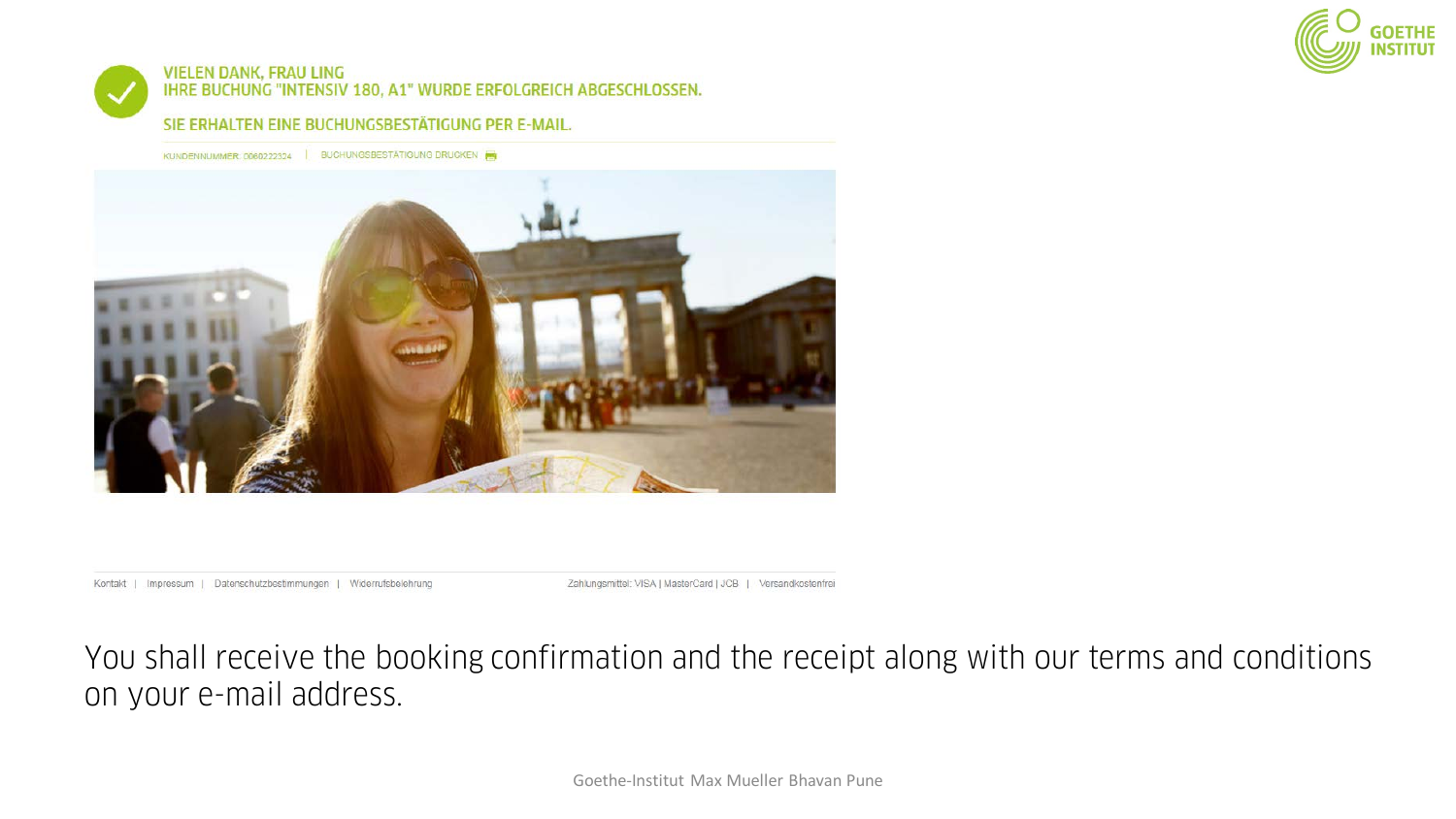

#### **VIELEN DANK, FRAU LING** IHRE BUCHUNG "INTENSIV 180, A1" WURDE ERFOLGREICH ABGESCHLOSSEN.

#### SIE ERHALTEN EINE BUCHUNGSBESTÄTIGUNG PER E-MAIL.

KUNDENNUMMER: 0060222324 | BUCHUNGSBESTÄTIGUNG DRUCKEN



#### Kontakt | Impressum | Datenschutzbestimmungen | Widerrufsbelehrung

Zahlungsmittel: VISA | MasterCard | JCB | Versandkostenfrei

You shall receive the booking confirmation and the receipt along with our terms and conditions on your e-mail address.